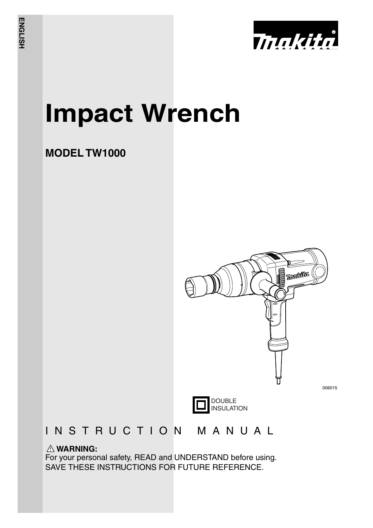

# **Impact Wrench**

### **MODEL TW1000**



### INSTRUCTION MANUAL

### **WARNING:**

For your personal safety, READ and UNDERSTAND before using. SAVE THESE INSTRUCTIONS FOR FUTURE REFERENCE.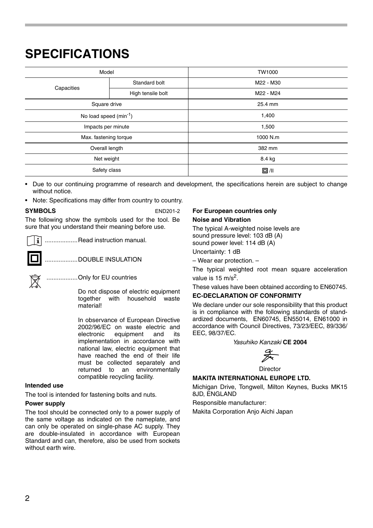### **SPECIFICATIONS**

| Model                              |                   | TW1000     |
|------------------------------------|-------------------|------------|
| Capacities                         | Standard bolt     | M22 - M30  |
|                                    | High tensile bolt | M22 - M24  |
| Square drive                       |                   | 25.4 mm    |
| No load speed (min <sup>-1</sup> ) |                   | 1,400      |
| Impacts per minute                 |                   | 1,500      |
| Max. fastening torque              |                   | 1000 N.m   |
| Overall length                     |                   | 382 mm     |
| Net weight                         |                   | 8.4 kg     |
| Safety class                       |                   | $\Box$ /II |
|                                    |                   |            |

• Due to our continuing programme of research and development, the specifications herein are subject to change without notice.

• Note: Specifications may differ from country to country.

**SYMBOLS** END201-2 The following show the symbols used for the tool. Be sure that you understand their meaning before use.

...................Read instruction manual.

...................DOUBLE INSULATION



..................Only for EU countries

Do not dispose of electric equipment together with household waste material!

In observance of European Directive 2002/96/EC on waste electric and<br>electronic equipment and its equipment and its implementation in accordance with national law, electric equipment that have reached the end of their life must be collected separately and returned to an environmentally compatible recycling facility.

#### **Intended use**

The tool is intended for fastening bolts and nuts.

#### **Power supply**

The tool should be connected only to a power supply of the same voltage as indicated on the nameplate, and can only be operated on single-phase AC supply. They are double-insulated in accordance with European Standard and can, therefore, also be used from sockets without earth wire

#### **For European countries only Noise and Vibration**

The typical A-weighted noise levels are sound pressure level: 103 dB (A) sound power level: 114 dB (A)

Uncertainty: 1 dB

– Wear ear protection. –

The typical weighted root mean square acceleration value is 15  $m/s<sup>2</sup>$ .

These values have been obtained according to EN60745.

#### **EC-DECLARATION OF CONFORMITY**

We declare under our sole responsibility that this product is in compliance with the following standards of standardized documents, EN60745, EN55014, EN61000 in accordance with Council Directives, 73/23/EEC, 89/336/ EEC, 98/37/EC.

*Yasuhiko Kanzaki* **CE 2004**

**Director** 

### **MAKITA INTERNATIONAL EUROPE LTD.**

Michigan Drive, Tongwell, Milton Keynes, Bucks MK15 8JD, ENGLAND

Responsible manufacturer:

Makita Corporation Anjo Aichi Japan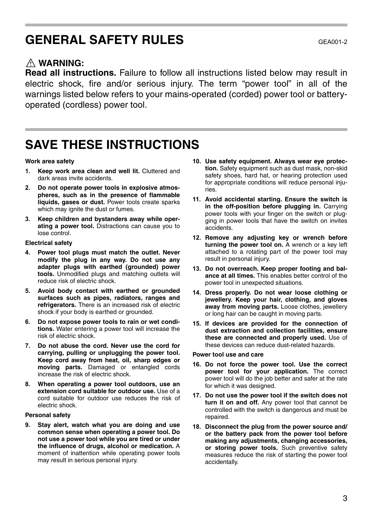### **GENERAL SAFETY RULES**

### **WARNING:**

**Read all instructions.** Failure to follow all instructions listed below may result in electric shock, fire and/or serious injury. The term "power tool" in all of the warnings listed below refers to your mains-operated (corded) power tool or batteryoperated (cordless) power tool.

### **SAVE THESE INSTRUCTIONS**

#### **Work area safety**

- **1. Keep work area clean and well lit.** Cluttered and dark areas invite accidents.
- **2. Do not operate power tools in explosive atmospheres, such as in the presence of flammable liquids, gases or dust.** Power tools create sparks which may ignite the dust or fumes.
- **3. Keep children and bystanders away while operating a power tool.** Distractions can cause you to lose control.

#### **Electrical safety**

- **4. Power tool plugs must match the outlet. Never modify the plug in any way. Do not use any adapter plugs with earthed (grounded) power tools.** Unmodified plugs and matching outlets will reduce risk of electric shock.
- **5. Avoid body contact with earthed or grounded surfaces such as pipes, radiators, ranges and refrigerators.** There is an increased risk of electric shock if your body is earthed or grounded.
- **6. Do not expose power tools to rain or wet conditions.** Water entering a power tool will increase the risk of electric shock.
- **7. Do not abuse the cord. Never use the cord for carrying, pulling or unplugging the power tool. Keep cord away from heat, oil, sharp edges or moving parts.** Damaged or entangled cords increase the risk of electric shock.
- **8. When operating a power tool outdoors, use an extension cord suitable for outdoor use.** Use of a cord suitable for outdoor use reduces the risk of electric shock.

#### **Personal safety**

**9. Stay alert, watch what you are doing and use common sense when operating a power tool. Do not use a power tool while you are tired or under the influence of drugs, alcohol or medication.** A moment of inattention while operating power tools may result in serious personal injury.

- **10. Use safety equipment. Always wear eye protection.** Safety equipment such as dust mask, non-skid safety shoes, hard hat, or hearing protection used for appropriate conditions will reduce personal injuries.
- **11. Avoid accidental starting. Ensure the switch is in the off-position before plugging in.** Carrying power tools with your finger on the switch or plugging in power tools that have the switch on invites accidents.
- **12. Remove any adjusting key or wrench before turning the power tool on.** A wrench or a key left attached to a rotating part of the power tool may result in personal injury.
- **13. Do not overreach. Keep proper footing and balance at all times.** This enables better control of the power tool in unexpected situations.
- **14. Dress properly. Do not wear loose clothing or jewellery. Keep your hair, clothing, and gloves away from moving parts.** Loose clothes, jewellery or long hair can be caught in moving parts.
- **15. If devices are provided for the connection of dust extraction and collection facilities, ensure these are connected and properly used.** Use of these devices can reduce dust-related hazards.

#### **Power tool use and care**

- **16. Do not force the power tool. Use the correct power tool for your application.** The correct power tool will do the job better and safer at the rate for which it was designed.
- **17. Do not use the power tool if the switch does not turn it on and off.** Any power tool that cannot be controlled with the switch is dangerous and must be repaired.
- **18. Disconnect the plug from the power source and/ or the battery pack from the power tool before making any adjustments, changing accessories, or storing power tools.** Such preventive safety measures reduce the risk of starting the power tool accidentally.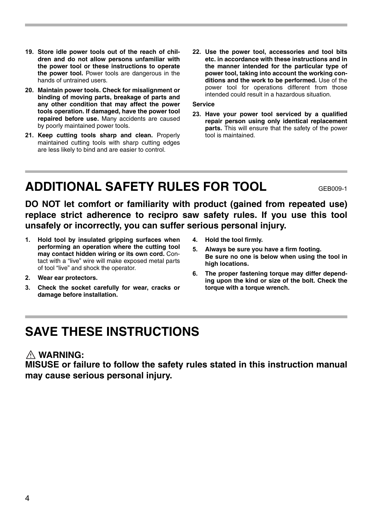- **19. Store idle power tools out of the reach of children and do not allow persons unfamiliar with the power tool or these instructions to operate the power tool.** Power tools are dangerous in the hands of untrained users.
- **20. Maintain power tools. Check for misalignment or binding of moving parts, breakage of parts and any other condition that may affect the power tools operation. If damaged, have the power tool repaired before use.** Many accidents are caused by poorly maintained power tools.
- **21. Keep cutting tools sharp and clean.** Properly maintained cutting tools with sharp cutting edges are less likely to bind and are easier to control.
- **22. Use the power tool, accessories and tool bits etc. in accordance with these instructions and in the manner intended for the particular type of power tool, taking into account the working conditions and the work to be performed.** Use of the power tool for operations different from those intended could result in a hazardous situation.

### **Service**

**23. Have your power tool serviced by a qualified repair person using only identical replacement parts.** This will ensure that the safety of the power tool is maintained.

### **ADDITIONAL SAFETY RULES FOR TOOL** GEB009-1

**DO NOT let comfort or familiarity with product (gained from repeated use) replace strict adherence to recipro saw safety rules. If you use this tool unsafely or incorrectly, you can suffer serious personal injury.**

- **1. Hold tool by insulated gripping surfaces when performing an operation where the cutting tool may contact hidden wiring or its own cord.** Contact with a "live" wire will make exposed metal parts of tool "live" and shock the operator.
- **2. Wear ear protectors.**
- **3. Check the socket carefully for wear, cracks or damage before installation.**
- **4. Hold the tool firmly.**
- **5. Always be sure you have a firm footing. Be sure no one is below when using the tool in high locations.**
- **6. The proper fastening torque may differ depending upon the kind or size of the bolt. Check the torque with a torque wrench.**

### **SAVE THESE INSTRUCTIONS**

### **WARNING:**

**MISUSE or failure to follow the safety rules stated in this instruction manual may cause serious personal injury.**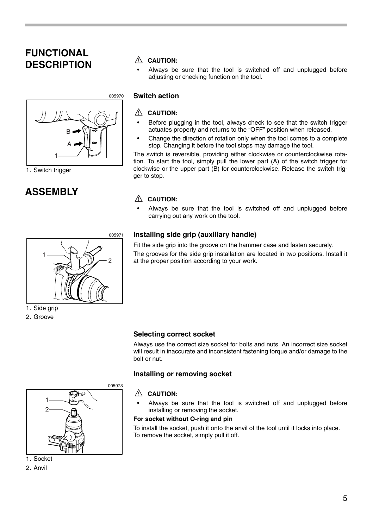### **FUNCTIONAL DESCRIPTION**  $\triangle$  CAUTION:



### 1. Switch trigger

### **ASSEMBLY**

• Always be sure that the tool is switched off and unplugged before adjusting or checking function on the tool.

### **Switch action**

### **CAUTION:**

- Before plugging in the tool, always check to see that the switch trigger actuates properly and returns to the "OFF" position when released.
- Change the direction of rotation only when the tool comes to a complete stop. Changing it before the tool stops may damage the tool.

The switch is reversible, providing either clockwise or counterclockwise rotation. To start the tool, simply pull the lower part (A) of the switch trigger for clockwise or the upper part (B) for counterclockwise. Release the switch trigger to stop.

### **CAUTION:**

• Always be sure that the tool is switched off and unplugged before carrying out any work on the tool.

### **Installing side grip (auxiliary handle)**

Fit the side grip into the groove on the hammer case and fasten securely. The grooves for the side grip installation are located in two positions. Install it at the proper position according to your work.



1. Side grip

2. Groove

### **Selecting correct socket**

Always use the correct size socket for bolts and nuts. An incorrect size socket will result in inaccurate and inconsistent fastening torque and/or damage to the bolt or nut.

### **Installing or removing socket**

### **CAUTION:**

Always be sure that the tool is switched off and unplugged before installing or removing the socket.

#### **For socket without O-ring and pin**

To install the socket, push it onto the anvil of the tool until it locks into place. To remove the socket, simply pull it off.



1. Socket

2. Anvil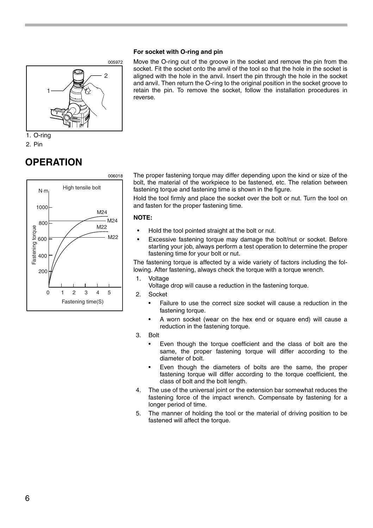#### **For socket with O-ring and pin**



2. Pin

### **OPERATION**



Move the O-ring out of the groove in the socket and remove the pin from the socket. Fit the socket onto the anvil of the tool so that the hole in the socket is aligned with the hole in the anvil. Insert the pin through the hole in the socket and anvil. Then return the O-ring to the original position in the socket groove to retain the pin. To remove the socket, follow the installation procedures in reverse.

The proper fastening torque may differ depending upon the kind or size of the bolt, the material of the workpiece to be fastened, etc. The relation between fastening torque and fastening time is shown in the figure.

Hold the tool firmly and place the socket over the bolt or nut. Turn the tool on and fasten for the proper fastening time.

#### **NOTE:**

- Hold the tool pointed straight at the bolt or nut.
- Excessive fastening torque may damage the bolt/nut or socket. Before starting your job, always perform a test operation to determine the proper fastening time for your bolt or nut.

The fastening torque is affected by a wide variety of factors including the following. After fastening, always check the torque with a torque wrench.

1. Voltage

Voltage drop will cause a reduction in the fastening torque.

- 2. Socket
	- Failure to use the correct size socket will cause a reduction in the fastening torque.
	- A worn socket (wear on the hex end or square end) will cause a reduction in the fastening torque.
- 3. Bolt
	- Even though the torque coefficient and the class of bolt are the same, the proper fastening torque will differ according to the diameter of bolt.
	- Even though the diameters of bolts are the same, the proper fastening torque will differ according to the torque coefficient, the class of bolt and the bolt length.
- 4. The use of the universal joint or the extension bar somewhat reduces the fastening force of the impact wrench. Compensate by fastening for a longer period of time.
- 5. The manner of holding the tool or the material of driving position to be fastened will affect the torque.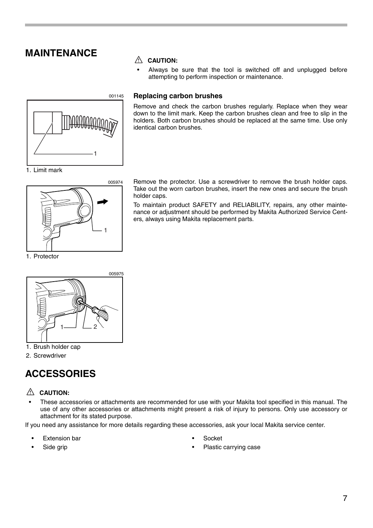### **MAINTENANCE**



### **CAUTION:**

Always be sure that the tool is switched off and unplugged before attempting to perform inspection or maintenance.

### **Replacing carbon brushes**

Remove and check the carbon brushes regularly. Replace when they wear down to the limit mark. Keep the carbon brushes clean and free to slip in the holders. Both carbon brushes should be replaced at the same time. Use only identical carbon brushes.



1. Protector

Remove the protector. Use a screwdriver to remove the brush holder caps. Take out the worn carbon brushes, insert the new ones and secure the brush holder caps.

To maintain product SAFETY and RELIABILITY, repairs, any other maintenance or adjustment should be performed by Makita Authorized Service Centers, always using Makita replacement parts.



### 1. Brush holder cap

2. Screwdriver

### **ACCESSORIES**

### **CAUTION:**

• These accessories or attachments are recommended for use with your Makita tool specified in this manual. The use of any other accessories or attachments might present a risk of injury to persons. Only use accessory or attachment for its stated purpose.

If you need any assistance for more details regarding these accessories, ask your local Makita service center.

**Extension bar** 

- Socket
- Plastic carrying case

Side arip